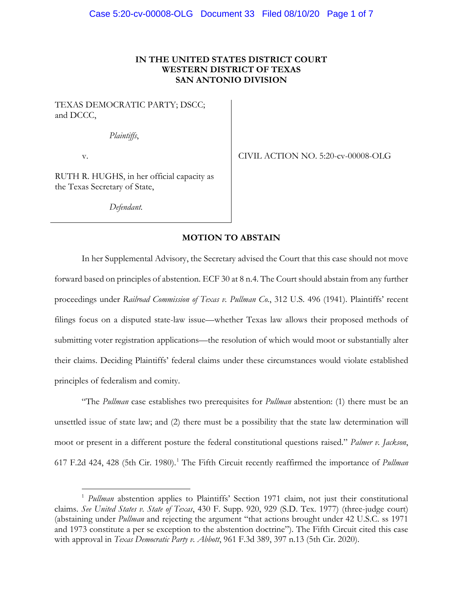### **IN THE UNITED STATES DISTRICT COURT WESTERN DISTRICT OF TEXAS SAN ANTONIO DIVISION**

TEXAS DEMOCRATIC PARTY; DSCC; and DCCC,

*Plaintiffs*,

v.

CIVIL ACTION NO. 5:20-cv-00008-OLG

RUTH R. HUGHS, in her official capacity as the Texas Secretary of State,

*Defendant.*

### **MOTION TO ABSTAIN**

In her Supplemental Advisory, the Secretary advised the Court that this case should not move forward based on principles of abstention. ECF 30 at 8 n.4. The Court should abstain from any further proceedings under *Railroad Commission of Texas v. Pullman Co.*, 312 U.S. 496 (1941). Plaintiffs' recent filings focus on a disputed state-law issue—whether Texas law allows their proposed methods of submitting voter registration applications—the resolution of which would moot or substantially alter their claims. Deciding Plaintiffs' federal claims under these circumstances would violate established principles of federalism and comity.

"The *Pullman* case establishes two prerequisites for *Pullman* abstention: (1) there must be an unsettled issue of state law; and (2) there must be a possibility that the state law determination will moot or present in a different posture the federal constitutional questions raised." *Palmer v. Jackson*, 617 F.2d 424, 428 (5th Cir. 1980).[1](#page-0-0) The Fifth Circuit recently reaffirmed the importance of *Pullman*

<span id="page-0-0"></span><sup>&</sup>lt;sup>1</sup> *Pullman* abstention applies to Plaintiffs' Section 1971 claim, not just their constitutional claims. *See United States v. State of Texas*, 430 F. Supp. 920, 929 (S.D. Tex. 1977) (three-judge court) (abstaining under *Pullman* and rejecting the argument "that actions brought under 42 U.S.C. ss 1971 and 1973 constitute a per se exception to the abstention doctrine"). The Fifth Circuit cited this case with approval in *Texas Democratic Party v. Abbott*, 961 F.3d 389, 397 n.13 (5th Cir. 2020).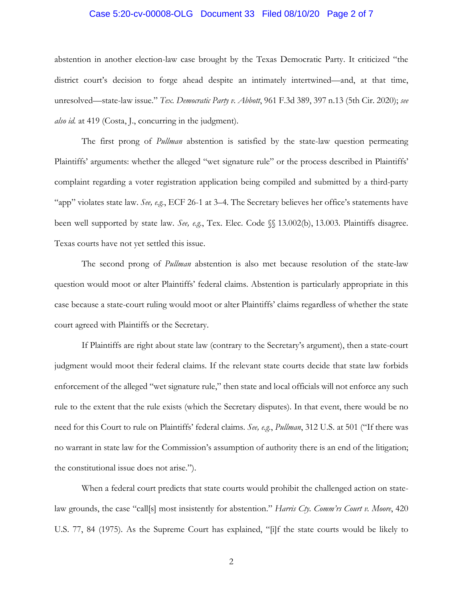### Case 5:20-cv-00008-OLG Document 33 Filed 08/10/20 Page 2 of 7

abstention in another election-law case brought by the Texas Democratic Party. It criticized "the district court's decision to forge ahead despite an intimately intertwined—and, at that time, unresolved—state-law issue." *Tex. Democratic Party v. Abbott*, 961 F.3d 389, 397 n.13 (5th Cir. 2020); *see also id.* at 419 (Costa, J., concurring in the judgment).

The first prong of *Pullman* abstention is satisfied by the state-law question permeating Plaintiffs' arguments: whether the alleged "wet signature rule" or the process described in Plaintiffs' complaint regarding a voter registration application being compiled and submitted by a third-party "app" violates state law. *See, e.g.*, ECF 26-1 at 3–4. The Secretary believes her office's statements have been well supported by state law. *See, e.g.*, Tex. Elec. Code §§ 13.002(b), 13.003. Plaintiffs disagree. Texas courts have not yet settled this issue.

The second prong of *Pullman* abstention is also met because resolution of the state-law question would moot or alter Plaintiffs' federal claims. Abstention is particularly appropriate in this case because a state-court ruling would moot or alter Plaintiffs' claims regardless of whether the state court agreed with Plaintiffs or the Secretary.

If Plaintiffs are right about state law (contrary to the Secretary's argument), then a state-court judgment would moot their federal claims. If the relevant state courts decide that state law forbids enforcement of the alleged "wet signature rule," then state and local officials will not enforce any such rule to the extent that the rule exists (which the Secretary disputes). In that event, there would be no need for this Court to rule on Plaintiffs' federal claims. *See, e.g.*, *Pullman*, 312 U.S. at 501 ("If there was no warrant in state law for the Commission's assumption of authority there is an end of the litigation; the constitutional issue does not arise.").

When a federal court predicts that state courts would prohibit the challenged action on statelaw grounds, the case "call[s] most insistently for abstention." *Harris Cty. Comm'rs Court v. Moore*, 420 U.S. 77, 84 (1975). As the Supreme Court has explained, "[i]f the state courts would be likely to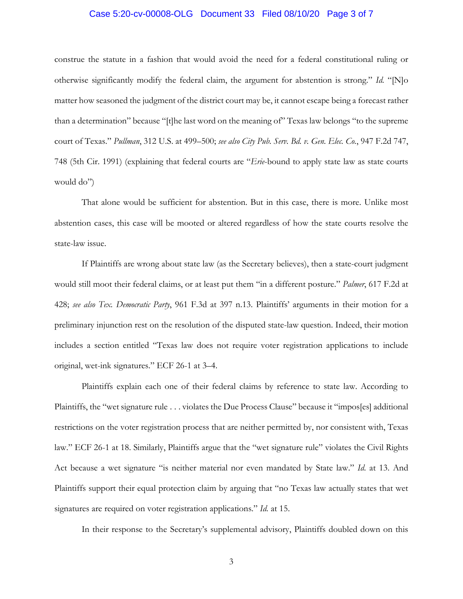### Case 5:20-cv-00008-OLG Document 33 Filed 08/10/20 Page 3 of 7

construe the statute in a fashion that would avoid the need for a federal constitutional ruling or otherwise significantly modify the federal claim, the argument for abstention is strong." *Id.* "[N]o matter how seasoned the judgment of the district court may be, it cannot escape being a forecast rather than a determination" because "[t]he last word on the meaning of" Texas law belongs "to the supreme court of Texas." *Pullman*, 312 U.S. at 499–500; *see also City Pub. Serv. Bd. v. Gen. Elec. Co.*, 947 F.2d 747, 748 (5th Cir. 1991) (explaining that federal courts are "*Erie*-bound to apply state law as state courts would do")

That alone would be sufficient for abstention. But in this case, there is more. Unlike most abstention cases, this case will be mooted or altered regardless of how the state courts resolve the state-law issue.

If Plaintiffs are wrong about state law (as the Secretary believes), then a state-court judgment would still moot their federal claims, or at least put them "in a different posture." *Palmer*, 617 F.2d at 428; *see also Tex. Democratic Party*, 961 F.3d at 397 n.13. Plaintiffs' arguments in their motion for a preliminary injunction rest on the resolution of the disputed state-law question. Indeed, their motion includes a section entitled "Texas law does not require voter registration applications to include original, wet-ink signatures." ECF 26-1 at 3–4.

Plaintiffs explain each one of their federal claims by reference to state law. According to Plaintiffs, the "wet signature rule . . . violates the Due Process Clause" because it "impos[es] additional restrictions on the voter registration process that are neither permitted by, nor consistent with, Texas law." ECF 26-1 at 18. Similarly, Plaintiffs argue that the "wet signature rule" violates the Civil Rights Act because a wet signature "is neither material nor even mandated by State law." *Id.* at 13. And Plaintiffs support their equal protection claim by arguing that "no Texas law actually states that wet signatures are required on voter registration applications." *Id.* at 15.

In their response to the Secretary's supplemental advisory, Plaintiffs doubled down on this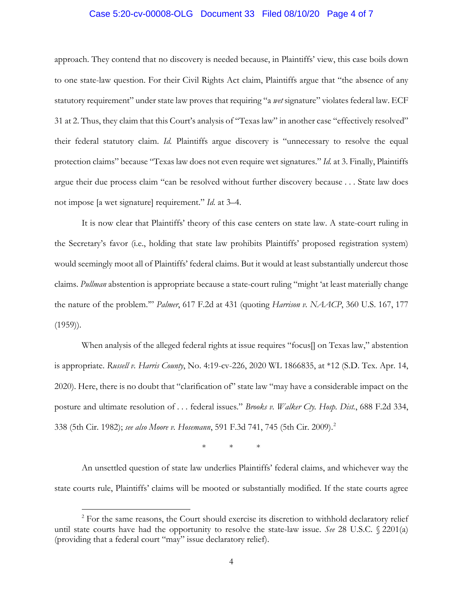### Case 5:20-cv-00008-OLG Document 33 Filed 08/10/20 Page 4 of 7

approach. They contend that no discovery is needed because, in Plaintiffs' view, this case boils down to one state-law question. For their Civil Rights Act claim, Plaintiffs argue that "the absence of any statutory requirement" under state law proves that requiring "a *wet* signature" violates federal law. ECF 31 at 2. Thus, they claim that this Court's analysis of "Texas law" in another case "effectively resolved" their federal statutory claim. *Id.* Plaintiffs argue discovery is "unnecessary to resolve the equal protection claims" because "Texas law does not even require wet signatures." *Id.* at 3. Finally, Plaintiffs argue their due process claim "can be resolved without further discovery because . . . State law does not impose [a wet signature] requirement." *Id.* at 3–4.

It is now clear that Plaintiffs' theory of this case centers on state law. A state-court ruling in the Secretary's favor (i.e., holding that state law prohibits Plaintiffs' proposed registration system) would seemingly moot all of Plaintiffs' federal claims. But it would at least substantially undercut those claims. *Pullman* abstention is appropriate because a state-court ruling "might 'at least materially change the nature of the problem.'" *Palmer*, 617 F.2d at 431 (quoting *Harrison v. NAACP*, 360 U.S. 167, 177  $(1959)$ ).

When analysis of the alleged federal rights at issue requires "focus<sup>[]</sup> on Texas law," abstention is appropriate. *Russell v. Harris County*, No. 4:19-cv-226, 2020 WL 1866835, at \*12 (S.D. Tex. Apr. 14, 2020). Here, there is no doubt that "clarification of" state law "may have a considerable impact on the posture and ultimate resolution of . . . federal issues." *Brooks v. Walker Cty. Hosp. Dist.*, 688 F.2d 334, 338 (5th Cir. 1982); *see also Moore v. Hosemann*, 591 F.3d 741, 745 (5th Cir. 2009). [2](#page-3-0)

\* \* \*

An unsettled question of state law underlies Plaintiffs' federal claims, and whichever way the state courts rule, Plaintiffs' claims will be mooted or substantially modified. If the state courts agree

<span id="page-3-0"></span><sup>&</sup>lt;sup>2</sup> For the same reasons, the Court should exercise its discretion to withhold declaratory relief until state courts have had the opportunity to resolve the state-law issue. *See* 28 U.S.C. § 2201(a) (providing that a federal court "may" issue declaratory relief).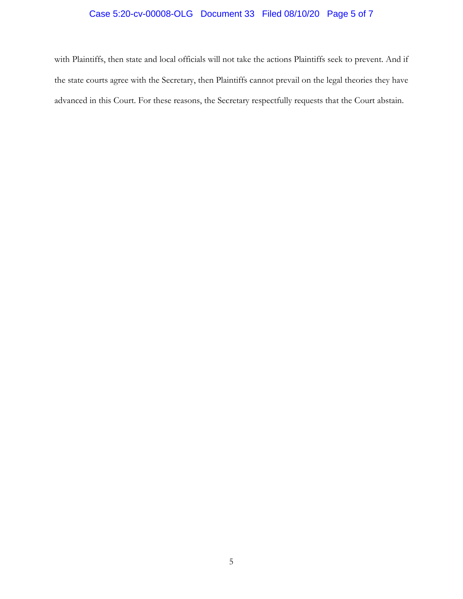# Case 5:20-cv-00008-OLG Document 33 Filed 08/10/20 Page 5 of 7

with Plaintiffs, then state and local officials will not take the actions Plaintiffs seek to prevent. And if the state courts agree with the Secretary, then Plaintiffs cannot prevail on the legal theories they have advanced in this Court. For these reasons, the Secretary respectfully requests that the Court abstain.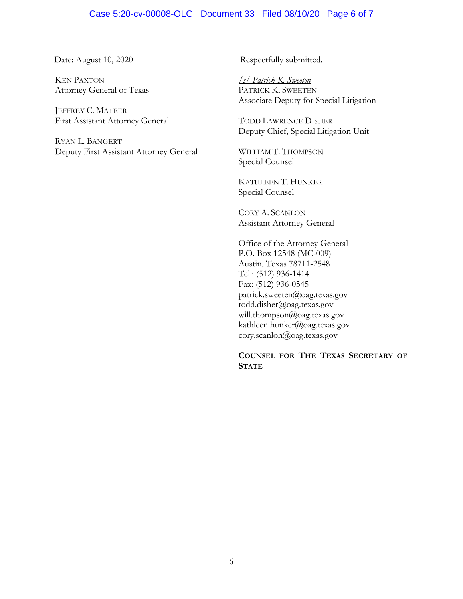### Case 5:20-cv-00008-OLG Document 33 Filed 08/10/20 Page 6 of 7

KEN PAXTON Attorney General of Texas

JEFFREY C. MATEER First Assistant Attorney General

RYAN L. BANGERT Deputy First Assistant Attorney General

Date: August 10, 2020 Respectfully submitted.

*/s/ Patrick K. Sweeten* PATRICK K. SWEETEN Associate Deputy for Special Litigation

TODD LAWRENCE DISHER Deputy Chief, Special Litigation Unit

WILLIAM T. THOMPSON Special Counsel

KATHLEEN T. HUNKER Special Counsel

CORY A. SCANLON Assistant Attorney General

Office of the Attorney General P.O. Box 12548 (MC-009) Austin, Texas 78711-2548 Tel.: (512) 936-1414 Fax: (512) 936-0545 patrick.sweeten@oag.texas.gov todd.disher@oag.texas.gov will.thompson@oag.texas.gov kathleen.hunker@oag.texas.gov cory.scanlon@oag.texas.gov

### **COUNSEL FOR THE TEXAS SECRETARY OF STATE**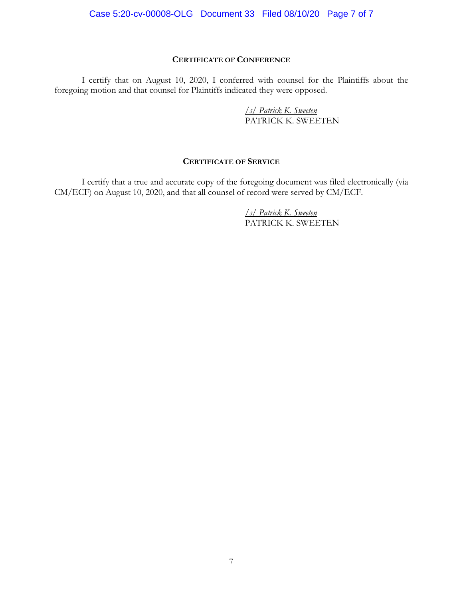### **CERTIFICATE OF CONFERENCE**

I certify that on August 10, 2020, I conferred with counsel for the Plaintiffs about the foregoing motion and that counsel for Plaintiffs indicated they were opposed.

> */s/ Patrick K. Sweeten* PATRICK K. SWEETEN

### **CERTIFICATE OF SERVICE**

I certify that a true and accurate copy of the foregoing document was filed electronically (via CM/ECF) on August 10, 2020, and that all counsel of record were served by CM/ECF.

> */s/ Patrick K. Sweeten* PATRICK K. SWEETEN